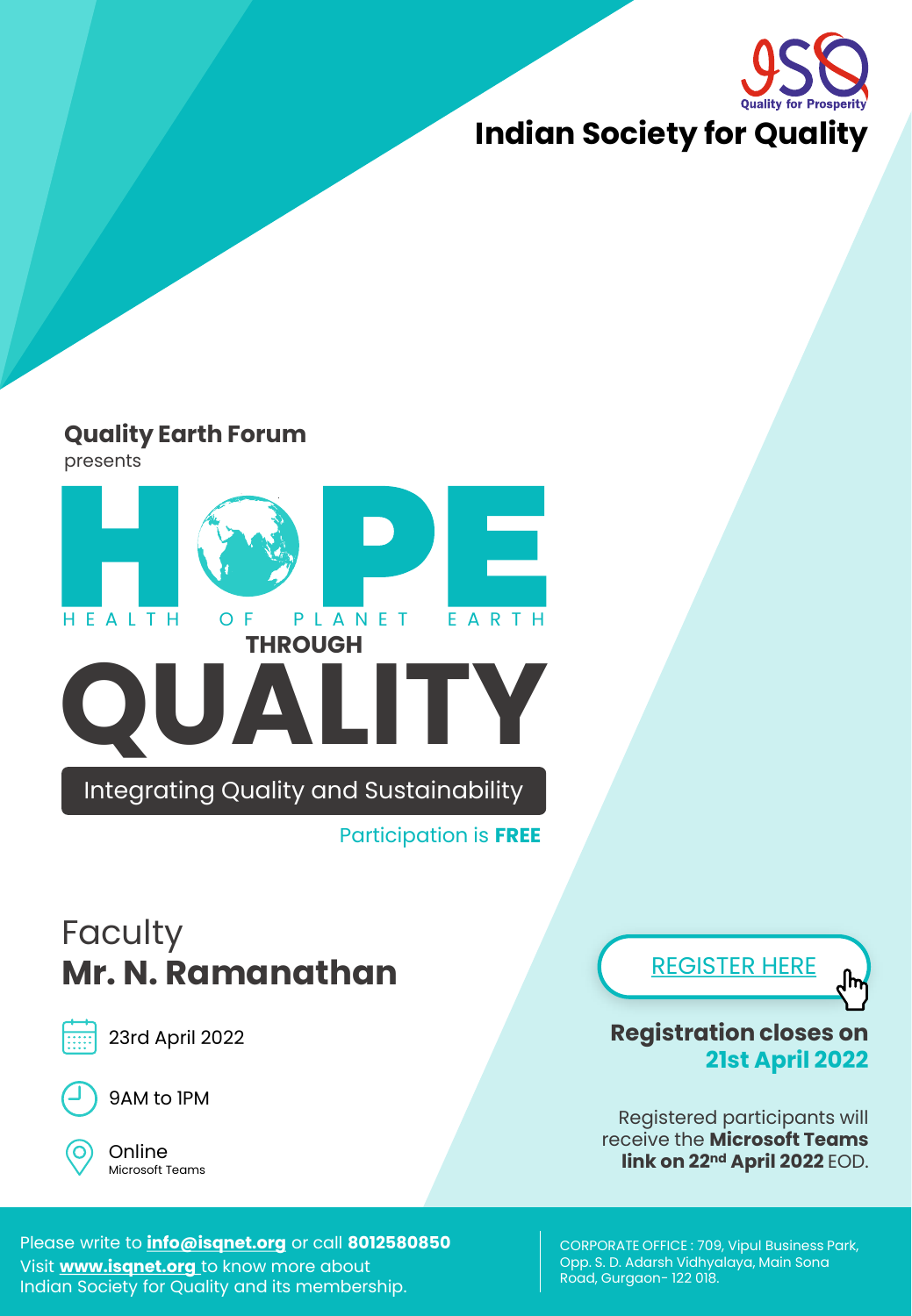

### **Quality Earth Forum**

presents



Participation is **FREE**

## **Faculty Mr. N. Ramanathan**



23rd April 2022



9AM to 1PM

Online Microsoft Teams [REGISTER HERE](https://docs.google.com/forms/d/e/1FAIpQLSfbBGWRyCmZ98ZwSauQKtqj-VGdn0fyH0obdUqz-5CHPPtI_A/viewform?usp=sf_link)



**Registration closes on 21st April 2022** 

Registered participants will receive the **Microsoft Teams link on 22nd April 2022** EOD.

Please write to **info@isqnet.org** or call **8012580850** Visit **www.isqnet.org** to know more about Indian Society for Quality and its membership.

CORPORATE OFFICE : 709, Vipul Business Park, Opp. S. D. Adarsh Vidhyalaya, Main Sona Road, Gurgaon-122 018.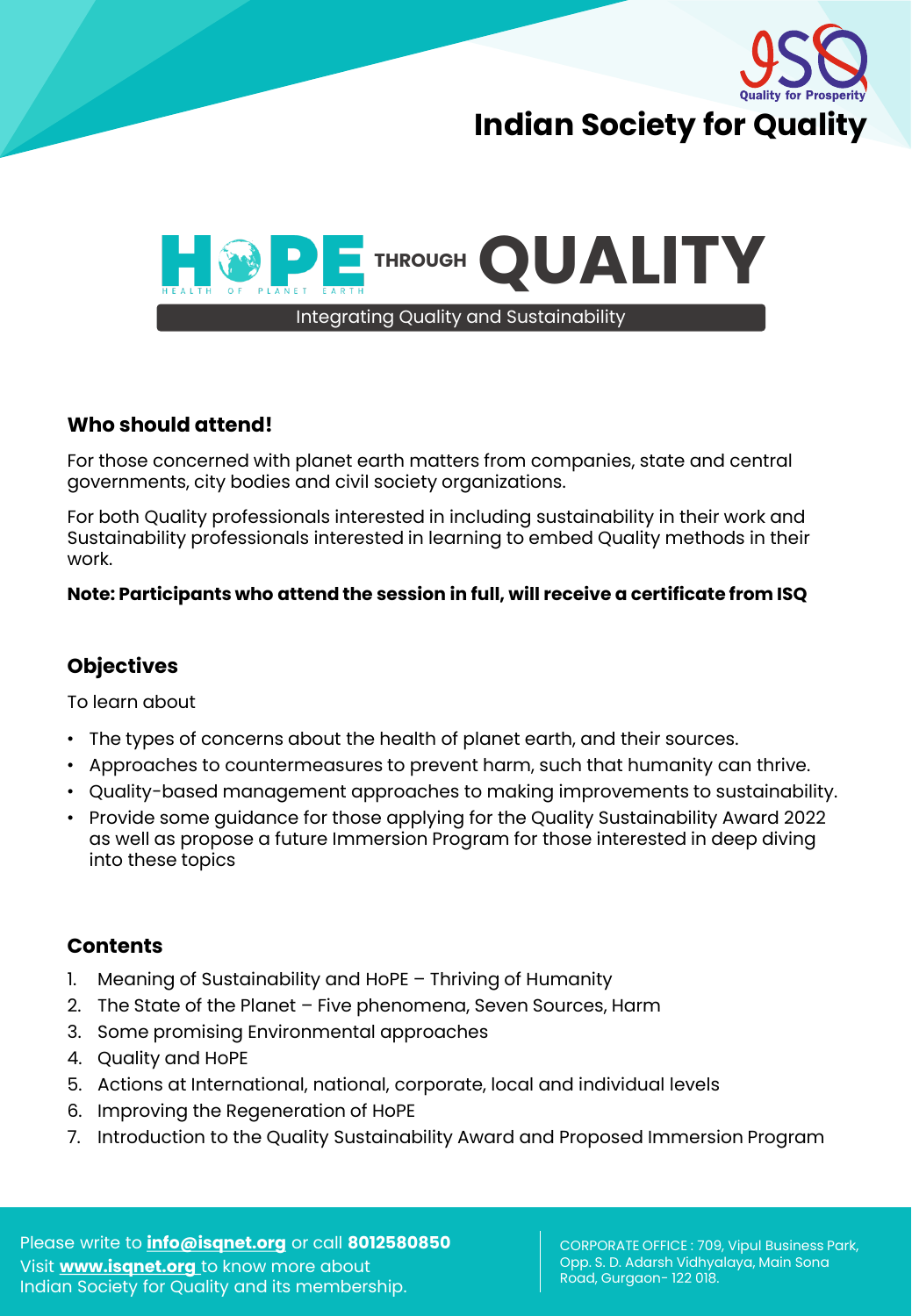



#### **Who should attend!**

For those concerned with planet earth matters from companies, state and central governments, city bodies and civil society organizations.

For both Quality professionals interested in including sustainability in their work and Sustainability professionals interested in learning to embed Quality methods in their work.

#### **Note: Participants who attend the session in full, will receive a certificate from ISQ**

#### **Objectives**

To learn about

- The types of concerns about the health of planet earth, and their sources.
- Approaches to countermeasures to prevent harm, such that humanity can thrive.
- Quality-based management approaches to making improvements to sustainability.
- Provide some guidance for those applying for the Quality Sustainability Award 2022 as well as propose a future Immersion Program for those interested in deep diving into these topics

#### **Contents**

- 1. Meaning of Sustainability and HoPE Thriving of Humanity
- 2. The State of the Planet Five phenomena, Seven Sources, Harm
- 3. Some promising Environmental approaches
- 4. Quality and HoPE
- 5. Actions at International, national, corporate, local and individual levels
- 6. Improving the Regeneration of HoPE
- 7. Introduction to the Quality Sustainability Award and Proposed Immersion Program

Please write to **info@isqnet.org** or call **8012580850** Visit **www.isqnet.org** to know more about Indian Society for Quality and its membership.